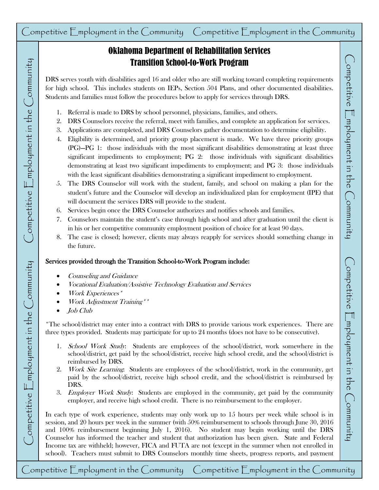## Oklahoma Department of Rehabilitation Services Transition School-to-Work Program

DRS serves youth with disabilities aged 16 and older who are still working toward completing requirements for high school. This includes students on IEPs, Section 504 Plans, and other documented disabilities. Students and families must follow the procedures below to apply for services through DRS.

- 1. Referral is made to DRS by school personnel, physicians, families, and others.
- 2. DRS Counselors receive the referral, meet with families, and complete an application for services.
- 3. Applications are completed, and DRS Counselors gather documentation to determine eligibility.
- 4. Eligibility is determined, and priority group placement is made. We have three priority groups (PG)—PG 1: those individuals with the most significant disabilities demonstrating at least three significant impediments to employment; PG 2: those individuals with significant disabilities demonstrating at least two significant impediments to employment; and PG 3: those individuals with the least significant disabilities demonstrating a significant impediment to employment.
- 5. The DRS Counselor will work with the student, family, and school on making a plan for the student's future and the Counselor will develop an individualized plan for employment (IPE) that will document the services DRS will provide to the student.
- 6. Services begin once the DRS Counselor authorizes and notifies schools and families.
- 7. Counselors maintain the student's case through high school and after graduation until the client is in his or her competitive community employment position of choice for at least 90 days.
- 8. The case is closed; however, clients may always reapply for services should something change in the future.

## Services provided through the Transition School-to-Work Program include:

- Counseling and Guidance
- Vocational Evaluation/Assistive Technology Evaluation and Services
- Work Experiences\*
- Work Adjustment Training\*\*
- $\bullet$  *Job Club*

\*The school/district may enter into a contract with DRS to provide various work experiences. There are three types provided. Students may participate for up to 24 months (does not have to be consecutive).

- 1. School Work Study: Students are employees of the school/district, work somewhere in the school/district, get paid by the school/district, receive high school credit, and the school/district is reimbursed by DRS.
- 2. Work Site Learning: Students are employees of the school/district, work in the community, get paid by the school/district, receive high school credit, and the school/district is reimbursed by DRS.
- 3. *Employer Work Study*: Students are employed in the community, get paid by the community employer, and receive high school credit. There is no reimbursement to the employer.

Transition Scholars and Scholars and the Scholars and Scholars and Scholars and Scholars and the set of the set of the set of the set of the set of the set of the set of the set of the set of the set of the set of the set In each type of work experience, students may only work up to 15 hours per week while school is in session, and 20 hours per week in the summer (with 50% reimbursement to schools through June 30, 2016 and 100% reimbursement beginning July 1, 2016). No student may begin working until the DRS Counselor has informed the teacher and student that authorization has been given. State and Federal Income tax are withheld; however, FICA and FUTA are not (except in the summer when not enrolled in school). Teachers must submit to DRS Counselors monthly time sheets, progress reports, and payment

proof for reimbursement of stipends paid to each work experience student.